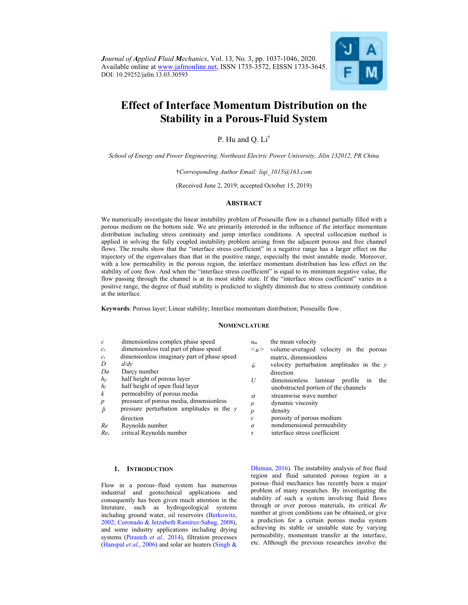

## **Effect of Interface Momentum Distribution on the Stability in a Porous-Fluid System**

## P. Hu and O. Li<sup>†</sup>

*School of Energy and Power Engineering, Northeast Electric Power University, Jilin 132012, PR China* 

†*Corresponding Author Email: liqi\_1015@163.com* 

(Received June 2, 2019; accepted October 15, 2019)

## **ABSTRACT**

We numerically investigate the linear instability problem of Poiseuille flow in a channel partially filled with a porous medium on the bottom side. We are primarily interested in the influence of the interface momentum distribution including stress continuity and jump interface conditions. A spectral collocation method is applied in solving the fully coupled instability problem arising from the adjacent porous and free channel flows. The results show that the "interface stress coefficient" in a negative range has a larger effect on the trajectory of the eigenvalues than that in the positive range, especially the most unstable mode. Moreover, with a low permeability in the porous region, the interface momentum distribution has less effect on the stability of core flow. And when the "interface stress coefficient" is equal to its minimum negative value, the flow passing through the channel is at its most stable state. If the "interface stress coefficient" varies in a positive range, the degree of fluid stability is predicted to slightly diminish due to stress continuity condition at the interface.

**Keywords**: Porous layer; Linear stability; Interface momentum distribution; Poiseuille flow.

#### **NOMENCLATURE**

| c                                   | dimensionless complex phase speed           | $\mathcal{U}$ m     | the mean velocity                                                                                                         |
|-------------------------------------|---------------------------------------------|---------------------|---------------------------------------------------------------------------------------------------------------------------|
| $c_r$                               | dimensionless real part of phase speed      | $\langle u \rangle$ | volume-averaged velocity in the porous                                                                                    |
| $\mathcal{C}$ i                     | dimensionless imaginary part of phase speed |                     | matrix, dimensionless                                                                                                     |
| D                                   | d/dv                                        | ũ                   | velocity perturbation amplitudes in the y                                                                                 |
| Da                                  | Darcy number                                |                     | direction<br>dimensionless laminar<br>profile in<br>the<br>unobstructed portion of the channels<br>streamwise wave number |
| $h_{\scriptscriptstyle\mathcal{D}}$ | half height of porous layer                 |                     |                                                                                                                           |
| hŕ                                  | half height of open fluid layer             |                     |                                                                                                                           |
| k                                   | permeability of porous media                | $\alpha$            |                                                                                                                           |

- $\alpha$  streamwise wave number
	- *μ* dynamic viscosity
	- *ρ* density
	- *ε* porosity of porous medium
	- *σ* nondimensional permeability
	- *τ* interface stress coefficient

#### **1. INTRODUCTION**

direction *Re* Reynolds number *Rec* critical Reynolds number

Flow in a porous–fluid system has numerous industrial and geotechnical applications and consequently has been given much attention in the literature, such as hydrogeological systems including ground water, oil reservoirs (Berkowitz, 2002; Coronado & Jetzabeth Ramírez-Sabag, 2008), and some industry applications including drying systems (Pirasteh et al., 2014), filtration processes (Hanspal *et al*., 2006) and solar air heaters (Singh &

*p* pressure of porous media, dimensionless *p* pressure perturbation amplitudes in the *y*

> Dhiman, 2016). The instability analysis of free fluid region and fluid saturated porous region in a porous–fluid mechanics has recently been a major problem of many researches. By investigating the stability of such a system involving fluid flows through or over porous materials, its critical *Re*  number at given conditions can be obtained, or give a prediction for a certain porous media system achieving its stable or unstable state by varying permeability, momentum transfer at the interface, etc. Although the previous researches involve the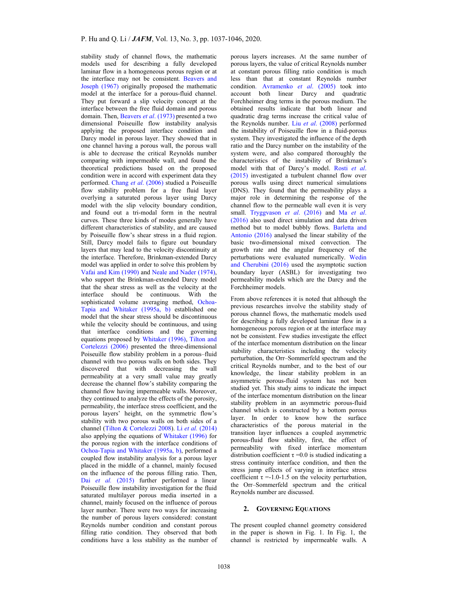stability study of channel flows, the mathematic models used for describing a fully developed laminar flow in a homogeneous porous region or at the interface may not be consistent. Beavers and Joseph (1967) originally proposed the mathematic model at the interface for a porous-fluid channel. They put forward a slip velocity concept at the interface between the free fluid domain and porous domain. Then, Beavers *et al*. (1973) presented a two dimensional Poiseuille flow instability analysis applying the proposed interface condition and Darcy model in porous layer. They showed that in one channel having a porous wall, the porous wall is able to decrease the critical Reynolds number comparing with impermeable wall, and found the theoretical predictions based on the proposed condition were in accord with experiment data they performed. Chang *et al*. (2006) studied a Poiseuille flow stability problem for a free fluid layer overlying a saturated porous layer using Darcy model with the slip velocity boundary condition, and found out a tri-modal form in the neutral curves. These three kinds of modes generally have different characteristics of stability, and are caused by Poiseuille flow's shear stress in a fluid region. Still, Darcy model fails to figure out boundary layers that may lead to the velocity discontinuity at the interface. Therefore, Brinkman-extended Darcy model was applied in order to solve this problem by Vafai and Kim (1990) and Neale and Nader (1974), who support the Brinkman-extended Darcy model that the shear stress as well as the velocity at the interface should be continuous. With the sophisticated volume averaging method, Ochoa-Tapia and Whitaker (1995a, b) established one model that the shear stress should be discontinuous while the velocity should be continuous, and using that interface conditions and the governing equations proposed by Whitaker (1996), Tilton and Cortelezzi (2006) presented the three-dimensional Poiseuille flow stability problem in a porous–fluid channel with two porous walls on both sides. They discovered that with decreasing the wall permeability at a very small value may greatly decrease the channel flow's stability comparing the channel flow having impermeable walls. Moreover, they continued to analyze the effects of the porosity, permeability, the interface stress coefficient, and the porous layers' height, on the symmetric flow's stability with two porous walls on both sides of a channel (Tilton & Cortelezzi 2008). Li *et al.* (2014) also applying the equations of Whitaker (1996) for the porous region with the interface conditions of Ochoa-Tapia and Whitaker (1995a, b), performed a coupled flow instability analysis for a porous layer placed in the middle of a channel, mainly focused on the influence of the porous filling ratio. Then, Dai *et al.* (2015) further performed a linear Poiseuille flow instability investigation for the fluid saturated multilayer porous media inserted in a channel, mainly focused on the influence of porous layer number. There were two ways for increasing the number of porous layers considered: constant Reynolds number condition and constant porous filling ratio condition. They observed that both conditions have a less stability as the number of porous layers increases. At the same number of porous layers, the value of critical Reynolds number at constant porous filling ratio condition is much less than that at constant Reynolds number condition. Avramenko *et al*. (2005) took into account both linear Darcy and quadratic Forchheimer drag terms in the porous medium. The obtained results indicate that both linear and quadratic drag terms increase the critical value of the Reynolds number. Liu *et al*. (2008) performed the instability of Poiseuille flow in a fluid-porous system. They investigated the influence of the depth ratio and the Darcy number on the instability of the system were, and also compared thoroughly the characteristics of the instability of Brinkman's model with that of Darcy's model. Rosti *et al*. (2015) investigated a turbulent channel flow over porous walls using direct numerical simulations (DNS). They found that the permeability plays a major role in determining the response of the channel flow to the permeable wall even it is very small. Tryggvason *et al*. (2016) and Ma *et al*. (2016) also used direct simulation and data driven method but to model bubbly flows. Barletta and Antonio (2016) analysed the linear stability of the basic two-dimensional mixed convection. The growth rate and the angular frequency of the perturbations were evaluated numerically. Wedin and Cherubini (2016) used the asymptotic suction boundary layer (ASBL) for investigating two permeability models which are the Darcy and the Forchheimer models.

From above references it is noted that although the previous researches involve the stability study of porous channel flows, the mathematic models used for describing a fully developed laminar flow in a homogeneous porous region or at the interface may not be consistent. Few studies investigate the effect of the interface momentum distribution on the linear stability characteristics including the velocity perturbation, the Orr–Sommerfeld spectrum and the critical Reynolds number, and to the best of our knowledge, the linear stability problem in an asymmetric porous-fluid system has not been studied yet. This study aims to indicate the impact of the interface momentum distribution on the linear stability problem in an asymmetric porous-fluid channel which is constructed by a bottom porous layer. In order to know how the surface characteristics of the porous material in the transition layer influences a coupled asymmetric porous-fluid flow stability, first, the effect of permeability with fixed interface momentum distribution coefficient  $\tau = 0.0$  is studied indicating a stress continuity interface condition, and then the stress jump effects of varying in interface stress coefficient  $\tau = -1.0 - 1.5$  on the velocity perturbation, the Orr–Sommerfeld spectrum and the critical Reynolds number are discussed.

## **2. GOVERNING EQUATIONS**

The present coupled channel geometry considered in the paper is shown in Fig. 1. In Fig. 1, the channel is restricted by impermeable walls. A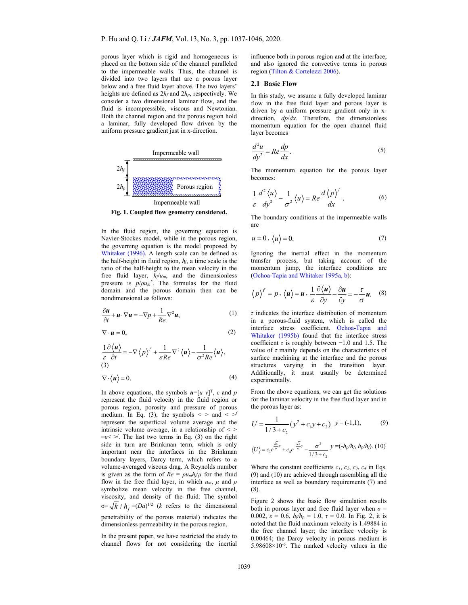porous layer which is rigid and homogeneous is placed on the bottom side of the channel paralleled to the impermeable walls. Thus, the channel is divided into two layers that are a porous layer below and a free fluid layer above. The two layers' heights are defined as 2*hf* and 2*hp*, respectively. We consider a two dimensional laminar flow, and the fluid is incompressible, viscous and Newtonian. Both the channel region and the porous region hold a laminar, fully developed flow driven by the uniform pressure gradient just in x-direction.



**Fig. 1. Coupled flow geometry considered.** 

In the fluid region, the governing equation is Navier-Stockes model, while in the porous region, the governing equation is the model proposed by Whitaker (1996). A length scale can be defined as the half-height in fluid region, *hf*, a time scale is the ratio of the half-height to the mean velocity in the free fluid layer, *hf*/*um*, and the dimensionless pressure is  $p/\rho u_m^2$ . The formulas for the fluid domain and the porous domain then can be nondimensional as follows:

$$
\frac{\partial \boldsymbol{u}}{\partial t} + \boldsymbol{u} \cdot \nabla \boldsymbol{u} = -\nabla p + \frac{1}{Re} \nabla^2 \boldsymbol{u},\tag{1}
$$

$$
\nabla \cdot \mathbf{u} = 0, \tag{2}
$$

$$
\frac{1}{\varepsilon} \frac{\partial \langle \mathbf{u} \rangle}{\partial t} = -\nabla \langle p \rangle^f + \frac{1}{\varepsilon Re} \nabla^2 \langle \mathbf{u} \rangle - \frac{1}{\sigma^2 Re} \langle \mathbf{u} \rangle,
$$
\n(3)

$$
\nabla \cdot \langle \mathbf{u} \rangle = 0. \tag{4}
$$

In above equations, the symbols  $u=[u \; v]^T$ ,  $\varepsilon$  and  $p$ represent the fluid velocity in the fluid region or porous region, porosity and pressure of porous medium. In Eq. (3), the symbols  $\lt$  > and  $\lt$   $\gt$ represent the superficial volume average and the intrinsic volume average, in a relationship of  $\leq$  >  $=\varepsilon$   $\leq$   $\leq$  The last two terms in Eq. (3) on the right side in turn are Brinkman term, which is only important near the interfaces in the Brinkman boundary layers, Darcy term, which refers to a volume-averaged viscous drag. A Reynolds number is given as the form of  $Re = \rho u_m h_f / \mu$  for the fluid flow in the free fluid layer, in which *um*, *μ* and *ρ* symbolize mean velocity in the free channel, viscosity, and density of the fluid. The symbol  $\sigma = \sqrt{k}/h_c = (Da)^{1/2}$  (*k* refers to the dimensional penetrability of the porous material) indicates the dimensionless permeability in the porous region.

In the present paper, we have restricted the study to channel flows for not considering the inertial

influence both in porous region and at the interface, and also ignored the convective terms in porous region (Tilton & Cortelezzi 2006).

## **2.1 Basic Flow**

In this study, we assume a fully developed laminar flow in the free fluid layer and porous layer is driven by a uniform pressure gradient only in xdirection, *dp*/*dx*. Therefore, the dimensionless momentum equation for the open channel fluid layer becomes

$$
\frac{d^2u}{dy^2} = Re\frac{dp}{dx}.
$$
\n(5)

The momentum equation for the porous layer becomes:

$$
\frac{1}{\varepsilon} \frac{d^2 \langle u \rangle}{dy^2} - \frac{1}{\sigma^2} \langle u \rangle = Re \frac{d \langle p \rangle^f}{dx}.
$$
 (6)

The boundary conditions at the impermeable walls are

$$
u = 0, \langle u \rangle = 0. \tag{7}
$$

Ignoring the inertial effect in the momentum transfer process, but taking account of the momentum jump, the interface conditions are (Ochoa-Tapia and Whitaker 1995a, b):

$$
\langle p \rangle^f = p, \langle u \rangle = u, \frac{1}{\varepsilon} \frac{\partial \langle u \rangle}{\partial y} - \frac{\partial u}{\partial y} = -\frac{\tau}{\sigma} u.
$$
 (8)

*τ* indicates the interface distribution of momentum in a porous-fluid system, which is called the interface stress coefficient. Ochoa-Tapia and Whitaker (1995b) found that the interface stress coefficient  $\tau$  is roughly between  $-1.0$  and 1.5. The value of  $\tau$  mainly depends on the characteristics of surface machining at the interface and the porous structures varying in the transition layer. Additionally, it must usually be determined experimentally.

From the above equations, we can get the solutions for the laminar velocity in the free fluid layer and in the porous layer as:

$$
U = \frac{1}{1/3 + c_2} (y^2 + c_1 y + c_2) \quad y = (-1, 1), \tag{9}
$$

$$
\langle U \rangle = c_3 e^{\frac{\sqrt{s}}{\sigma}y} + c_4 e^{-\frac{\sqrt{s}}{\sigma}y} - \frac{\sigma^2}{1/3 + c_2} y = (-h_p/h_f, h_p/h_f). \ (10)
$$

Where the constant coefficients  $c_1$ ,  $c_2$ ,  $c_3$ ,  $c_4$  in Eqs. (9) and (10) are achieved through assembling all the interface as well as boundary requirements (7) and (8).

Figure 2 shows the basic flow simulation results both in porous layer and free fluid layer when  $\sigma$  = 0.002,  $\varepsilon = 0.6$ ,  $h_f/h_p = 1.0$ ,  $\tau = 0.0$ . In Fig. 2, it is noted that the fluid maximum velocity is 1.49884 in the free channel layer; the interface velocity is 0.00464; the Darcy velocity in porous medium is  $5.98608\times10^{-6}$ . The marked velocity values in the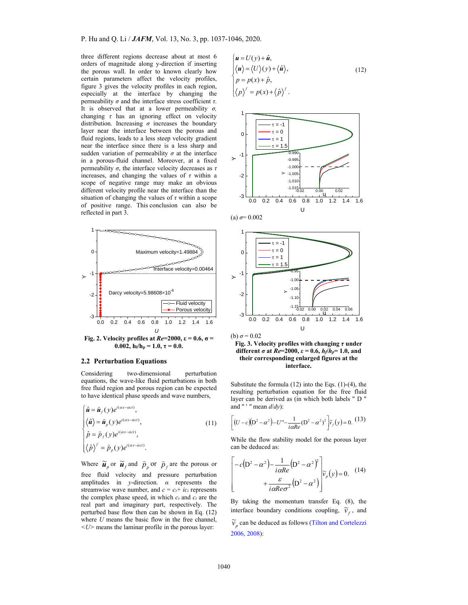three different regions decrease about at most 6 orders of magnitude along y-direction if inserting the porous wall. In order to known clearly how certain parameters affect the velocity profiles, figure 3 gives the velocity profiles in each region, especially at the interface by changing the permeability *σ* and the interface stress coefficient *τ*. It is observed that at a lower permeability *σ,*  changing *τ* has an ignoring effect on velocity distribution. Increasing  $\sigma$  increases the boundary layer near the interface between the porous and fluid regions, leads to a less steep velocity gradient near the interface since there is a less sharp and sudden variation of permeability  $\sigma$  at the interface in a porous-fluid channel. Moreover, at a fixed permeability *σ*, the interface velocity decreases as *τ* increases, and changing the values of  $\tau$  within a scope of negative range may make an obvious different velocity profile near the interface than the situation of changing the values of *τ* within a scope of positive range. This conclusion can also be reflected in part 3.



**0.002,**  $h_f/h_p = 1.0, \tau = 0.0$ .

## **2.2 Perturbation Equations**

Considering two-dimensional perturbation equations, the wave-like fluid perturbations in both free fluid region and porous region can be expected to have identical phase speeds and wave numbers,

$$
\begin{cases}\n\hat{\mathbf{u}} = \tilde{\mathbf{u}}_f(y)e^{i(\alpha x - \alpha ct)}, \\
\langle \hat{\mathbf{u}} \rangle = \tilde{\mathbf{u}}_p(y)e^{i(\alpha x - \alpha ct)}, \\
\hat{p} = \tilde{p}_f(y)e^{i(\alpha x - \alpha ct)}, \\
\langle \hat{p} \rangle^f = \tilde{p}_p(y)e^{i(\alpha x - \alpha ct)}.\n\end{cases}
$$
\n(11)

Where  $\tilde{\mathbf{u}}_p$  or  $\tilde{\mathbf{u}}_f$  and  $\tilde{p}_p$  or  $\tilde{p}_f$  are the porous or free fluid velocity and pressure perturbation amplitudes in *y*-direction. *α* represents the streamwise wave number, and  $c = c_r + ic_i$  represents the complex phase speed, in which *cr* and *ci* are the real part and imaginary part, respectively. The perturbed base flow then can be shown in Eq. (12) where *U* means the basic flow in the free channel, *<U>* means the laminar profile in the porous layer:

$$
\begin{cases}\n\mathbf{u} = U(\mathbf{y}) + \hat{\mathbf{u}}, \\
\langle \mathbf{u} \rangle = \langle U \rangle(\mathbf{y}) + \langle \hat{\mathbf{u}} \rangle, \\
p = p(\mathbf{x}) + \hat{p}, \\
\langle p \rangle^{\ell} = p(\mathbf{x}) + \langle \hat{p} \rangle^{\ell}.\n\end{cases}
$$
\n(12)



 $(a)$   $\sigma$  = 0.002







Substitute the formula  $(12)$  into the Eqs.  $(1)-(4)$ , the resulting perturbation equation for the free fluid layer can be derived as (in which both labels " D " and " ' *"* mean *d*/*dy*):

$$
\[ (U - c)(D^2 - \alpha^2) - U'' - \frac{1}{i\alpha Re} (D^2 - \alpha^2)^2 \] \widetilde{v}_f(y) = 0. \tag{13}
$$

While the flow stability model for the porous layer can be deduced as:

$$
\begin{bmatrix} -c(D^2 - \alpha^2) - \frac{1}{i\alpha Re} (D^2 - \alpha^2)^2 \\ + \frac{\varepsilon}{i\alpha Re \sigma^2} (D^2 - \alpha^2) \end{bmatrix} \widetilde{v}_p(y) = 0. \quad (14)
$$

By taking the momentum transfer Eq. (8), the interface boundary conditions coupling,  $\tilde{v}_f$ , and

 $\widetilde{v}_p$  can be deduced as follows (Tilton and Cortelezzi 2006, 2008):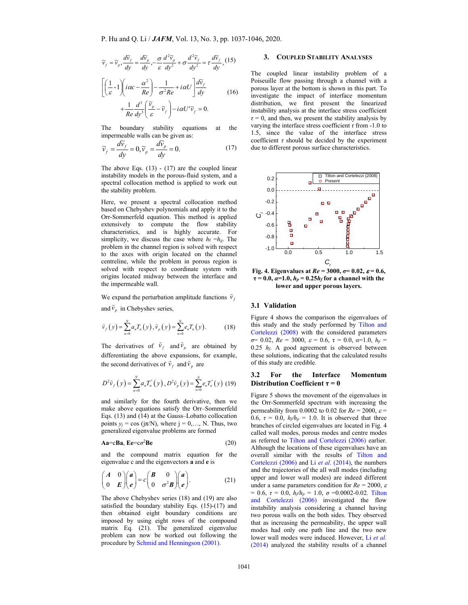$$
\widetilde{v}_f = \widetilde{v}_p, \frac{d\widetilde{v}_f}{dy} = \frac{d\widetilde{v}_p}{dy}, -\frac{\sigma}{\varepsilon} \frac{d^2 \widetilde{v}_p}{dy^2} + \sigma \frac{d^2 \widetilde{v}_f}{dy^2} = \tau \frac{d\widetilde{v}_f}{dy}, (15)
$$
\n
$$
\left[ \left( \frac{1}{\varepsilon} - 1 \right) \left( i\alpha c - \frac{\alpha^2}{Re} \right) - \frac{1}{\sigma^2 Re} + i\alpha U \right] \frac{d\widetilde{v}_f}{dy} + \frac{1}{Re} \frac{d^3}{dy^3} \left( \frac{\widetilde{v}_p}{\varepsilon} - \widetilde{v}_f \right) - i\alpha U' \widetilde{v}_f = 0.
$$

The boundary stability equations at the impermeable walls can be given as:

$$
\widetilde{v}_f = \frac{d\widetilde{v}_f}{dy} = 0, \widetilde{v}_p = \frac{d\widetilde{v}_p}{dy} = 0.
$$
\n(17)

The above Eqs.  $(13)$  -  $(17)$  are the coupled linear instability models in the porous-fluid system, and a spectral collocation method is applied to work out the stability problem.

Here, we present a spectral collocation method based on Chebyshev polynomials and apply it to the Orr-Sommerfeld equation. This method is applied extensively to compute the flow stability characteristics, and is highly accurate. For simplicity, we discuss the case where  $h_f = h_g$ . The problem in the channel region is solved with respect to the axes with origin located on the channel centreline, while the problem in porous region is solved with respect to coordinate system with origins located midway between the interface and the impermeable wall.

We expand the perturbation amplitude functions  $\tilde{v}_f$ and  $\tilde{v}_n$  in Chebyshev series,

$$
\tilde{v}_f(y) = \sum_{n=0}^{N} a_n T_n(y), \tilde{v}_p(y) = \sum_{n=0}^{N} e_n T_n(y).
$$
 (18)

The derivatives of  $\tilde{v}_f$  and  $\tilde{v}_p$  are obtained by differentiating the above expansions, for example, the second derivatives of  $\tilde{v}_f$  and  $\tilde{v}_p$  are

$$
D^{2}\tilde{v}_{f}\left(y\right)=\sum_{n=0}^{N}a_{n}T_{n}^{^{n}}\left(y\right),D^{2}\tilde{v}_{p}\left(y\right)=\sum_{n=0}^{N}e_{n}T_{n}^{^{n}}\left(y\right)\left(19\right)
$$

and similarly for the fourth derivative, then we make above equations satisfy the Orr–Sommerfeld Eqs. (13) and (14) at the Gauss–Lobatto collocation points  $y_i = \cos(i\pi/N)$ , where  $i = 0,..., N$ . Thus, two generalized eigenvalue problems are formed

$$
Aa = cBa, Ee = c\sigma^2 Be \tag{20}
$$

and the compound matrix equation for the eigenvalue c and the eigenvectors **a** and **e** is

$$
\begin{pmatrix} A & 0 \\ 0 & E \end{pmatrix} \begin{pmatrix} a \\ e \end{pmatrix} = c \begin{pmatrix} B & 0 \\ 0 & \sigma^2 B \end{pmatrix} \begin{pmatrix} a \\ e \end{pmatrix}.
$$
 (21)

The above Chebyshev series (18) and (19) are also satisfied the boundary stability Eqs. (15)-(17) and then obtained eight boundary conditions are imposed by using eight rows of the compound matrix Eq. (21). The generalized eigenvalue problem can now be worked out following the procedure by Schmid and Henningson (2001).

## **3. COUPLED STABILITY ANALYSES**

The coupled linear instability problem of a Poiseuille flow passing through a channel with a porous layer at the bottom is shown in this part. To investigate the impact of interface momentum distribution, we first present the linearized instability analysis at the interface stress coefficient  $\tau = 0$ , and then, we present the stability analysis by varying the interface stress coefficient  $\tau$  from -1.0 to 1.5, since the value of the interface stress coefficient  $\tau$  should be decided by the experiment due to different porous surface characteristics.



**Fig. 4. Eigenvalues at**  $Re = 3000$ **,**  $\sigma = 0.02$ **,**  $\varepsilon = 0.6$ **,**  $\tau = 0.0$ ,  $\alpha = 1.0$ ,  $h_p = 0.25h_f$  for a channel with the **lower and upper porous layers.** 

#### **3.1 Validation**

Figure 4 shows the comparison the eigenvalues of this study and the study performed by Tilton and Cortelezzi (2008) with the considered parameters  $\sigma$ = 0.02,  $Re$  = 3000,  $\varepsilon$  = 0.6,  $\tau$  = 0.0,  $\alpha$ =1.0,  $h_p$  = 0.25 *hf*. A good agreement is observed between these solutions, indicating that the calculated results of this study are credible.

### **3.2 For the Interface Momentum Distribution Coefficient τ = 0**

Figure 5 shows the movement of the eigenvalues in the Orr-Sommerfeld spectrum with increasing the permeability from 0.0002 to 0.02 for  $Re = 2000$ ,  $\varepsilon$ 0.6,  $\tau = 0.0$ ,  $h_f/h_p = 1.0$ . It is observed that three branches of circled eigenvalues are located in Fig. 4 called wall modes, porous modes and centre modes as referred to Tilton and Cortelezzi (2006) earlier. Although the locations of these eigenvalues have an overall similar with the results of Tilton and Cortelezzi (2006) and Li *et al*. (2014), the numbers and the trajectories of the all wall modes (including upper and lower wall modes) are indeed different under a same parameters condition for  $Re = 2000$ ,  $\varepsilon$  $= 0.6, \tau = 0.0, h_f/h_p = 1.0, \sigma = 0.0002 - 0.02$ . Tilton and Cortelezzi (2006) investigated the flow instability analysis considering a channel having two porous walls on the both sides. They observed that as increasing the permeability, the upper wall modes had only one path line and the two new lower wall modes were induced. However, Li *et al.*  (2014) analyzed the stability results of a channel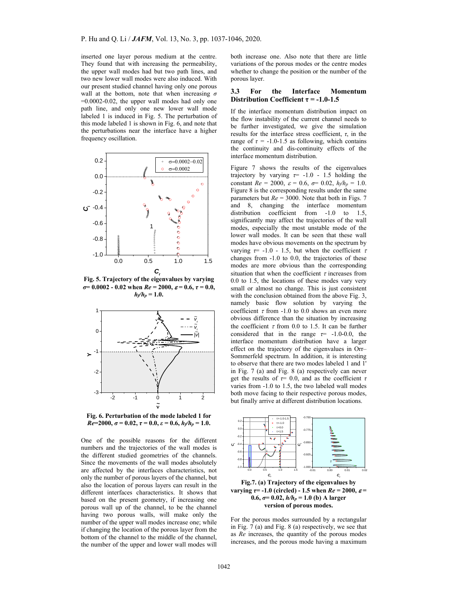inserted one layer porous medium at the centre. They found that with increasing the permeability, the upper wall modes had but two path lines, and two new lower wall modes were also induced. With our present studied channel having only one porous wall at the bottom, note that when increasing *σ*  $=0.0002-0.02$ , the upper wall modes had only one path line, and only one new lower wall mode labeled 1 is induced in Fig. 5. The perturbation of this mode labeled 1 is shown in Fig. 6, and note that the perturbations near the interface have a higher frequency oscillation.



**Fig. 5. Trajectory of the eigenvalues by varying**   $\sigma$  = 0.0002 - 0.02 when  $Re$  = 2000,  $\varepsilon$  = 0.6,  $\tau$  = 0.0,  $h_f/h_p = 1.0$ .



**Fig. 6. Perturbation of the mode labeled 1 for**   $Re=2000, \sigma=0.02, \tau=0.0, \varepsilon=0.6, h_f/h_p=1.0.$ 

One of the possible reasons for the different numbers and the trajectories of the wall modes is the different studied geometries of the channels. Since the movements of the wall modes absolutely are affected by the interfaces characteristics, not only the number of porous layers of the channel, but also the location of porous layers can result in the different interfaces characteristics. It shows that based on the present geometry, if increasing one porous wall up of the channel, to be the channel having two porous walls, will make only the number of the upper wall modes increase one; while if changing the location of the porous layer from the bottom of the channel to the middle of the channel, the number of the upper and lower wall modes will

both increase one. Also note that there are little variations of the porous modes or the centre modes whether to change the position or the number of the porous layer.

## **3.3 For the Interface Momentum Distribution Coefficient**  $\tau$  **= -1.0-1.5**

If the interface momentum distribution impact on the flow instability of the current channel needs to be further investigated, we give the simulation results for the interface stress coefficient, *τ*, in the range of  $\tau = -1.0 - 1.5$  as following, which contains the continuity and dis-continuity effects of the interface momentum distribution.

Figure 7 shows the results of the eigenvalues trajectory by varying  $\tau$  -1.0 - 1.5 holding the constant  $Re = 2000$ ,  $\varepsilon = 0.6$ ,  $\sigma = 0.02$ ,  $h_f/h_p = 1.0$ . Figure 8 is the corresponding results under the same parameters but  $Re = 3000$ . Note that both in Figs. 7 and 8, changing the interface momentum distribution coefficient from -1.0 to 1.5, significantly may affect the trajectories of the wall modes, especially the most unstable mode of the lower wall modes. It can be seen that these wall modes have obvious movements on the spectrum by varying  $\tau$  - 1.0 - 1.5, but when the coefficient  $\tau$ changes from -1.0 to 0.0, the trajectories of these modes are more obvious than the corresponding situation that when the coefficient  $\tau$  increases from 0.0 to 1.5, the locations of these modes vary very small or almost no change. This is just consistent with the conclusion obtained from the above Fig. 3, namely basic flow solution by varying the coefficient  $\tau$  from -1.0 to 0.0 shows an even more obvious difference than the situation by increasing the coefficient  $\tau$  from 0.0 to 1.5. It can be further considered that in the range  $\tau$  = -1.0-0.0, the interface momentum distribution have a larger effect on the trajectory of the eigenvalues in Orr– Sommerfeld spectrum. In addition, it is interesting to observe that there are two modes labeled 1 and 1' in Fig. 7 (a) and Fig. 8 (a) respectively can never get the results of  $\tau$ = 0.0, and as the coefficient  $\tau$ varies from -1.0 to 1.5, the two labeled wall modes both move facing to their respective porous modes, but finally arrive at different distribution locations.



**varying**  $\tau$  = -1.0 (circled) - 1.5 when  $Re = 2000$ ,  $\varepsilon$  =  $0.6$ ,  $\sigma$  = 0.02,  $h/h_p$  = 1.0 (b) A larger **version of porous modes.** 

For the porous modes surrounded by a rectangular in Fig. 7 (a) and Fig. 8 (a) respectively, we see that as *Re* increases, the quantity of the porous modes increases, and the porous mode having a maximum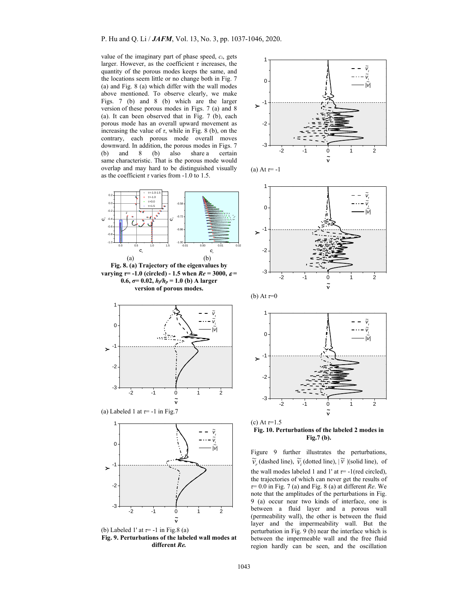value of the imaginary part of phase speed, *ci*, gets larger. However, as the coefficient *τ* increases, the quantity of the porous modes keeps the same, and the locations seem little or no change both in Fig. 7 (a) and Fig. 8 (a) which differ with the wall modes above mentioned. To observe clearly, we make Figs. 7 (b) and 8 (b) which are the larger version of these porous modes in Figs. 7 (a) and 8 (a). It can been observed that in Fig. 7 (b), each porous mode has an overall upward movement as increasing the value of  $\tau$ , while in Fig. 8 (b), on the contrary, each porous mode overall moves downward. In addition, the porous modes in Figs. 7 (b) and 8 (b) also share a certain same characteristic. That is the porous mode would overlap and may hard to be distinguished visually as the coefficient *τ* varies from -1.0 to 1.5.



 **~** (b) Labeled 1' at *τ*= -1 in Fig.8 (a) **Fig. 9. Perturbations of the labeled wall modes at different** *Re.* 











(c) At *τ*=1.5 **Fig. 10. Perturbations of the labeled 2 modes in Fig.7 (b).** 

Figure 9 further illustrates the perturbations,  $\widetilde{v}_r$  (dashed line),  $\widetilde{v}_i$  (dotted line),  $|\widetilde{v}|$  (solid line), of the wall modes labeled 1 and 1' at  $\tau$ = -1(red circled), the trajectories of which can never get the results of *τ*= 0.0 in Fig. 7 (a) and Fig. 8 (a) at different *Re*. We note that the amplitudes of the perturbations in Fig. 9 (a) occur near two kinds of interface, one is between a fluid layer and a porous wall (permeability wall), the other is between the fluid layer and the impermeability wall. But the perturbation in Fig. 9 (b) near the interface which is between the impermeable wall and the free fluid region hardly can be seen, and the oscillation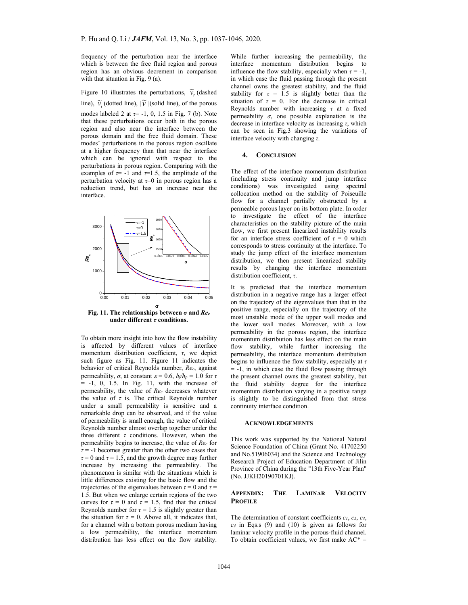frequency of the perturbation near the interface which is between the free fluid region and porous region has an obvious decrement in comparison with that situation in Fig. 9 (a).

# Figure 10 illustrates the perturbations,  $\widetilde{v}_r$  (dashed

line),  $\widetilde{v}_i$  (dotted line),  $|\widetilde{v}|$  (solid line), of the porous modes labeled 2 at  $\tau$ = -1, 0, 1.5 in Fig. 7 (b). Note that these perturbations occur both in the porous region and also near the interface between the porous domain and the free fluid domain. These modes' perturbations in the porous region oscillate at a higher frequency than that near the interface which can be ignored with respect to the perturbations in porous region. Comparing with the examples of  $\tau$ = -1 and  $\tau$ =1.5, the amplitude of the perturbation velocity at *τ*=0 in porous region has a reduction trend, but has an increase near the interface.



**Fig. 11. The relationships between** *σ* **and** *Rec* **under different** *τ* **conditions.** 

To obtain more insight into how the flow instability is affected by different values of interface momentum distribution coefficient, *τ*, we depict such figure as Fig. 11. Figure 11 indicates the behavior of critical Reynolds number, *Rec*, against permeability,  $\sigma$ , at constant  $\varepsilon = 0.6$ ,  $h_f/h_p = 1.0$  for  $\tau$  $=$  -1, 0, 1.5. In Fig. 11, with the increase of permeability, the value of *Rec* decreases whatever the value of  $\tau$  is. The critical Reynolds number under a small permeability is sensitive and a remarkable drop can be observed, and if the value of permeability is small enough, the value of critical Reynolds number almost overlap together under the three different *τ* conditions. However, when the permeability begins to increase, the value of *Rec* for  $\tau$  = -1 becomes greater than the other two cases that  $\tau = 0$  and  $\tau = 1.5$ , and the growth degree may further increase by increasing the permeability. The phenomenon is similar with the situations which is little differences existing for the basic flow and the trajectories of the eigenvalues between  $\tau = 0$  and  $\tau =$ 1.5. But when we enlarge certain regions of the two curves for  $\tau = 0$  and  $\tau = 1.5$ , find that the critical Reynolds number for  $\tau = 1.5$  is slightly greater than the situation for  $\tau = 0$ . Above all, it indicates that, for a channel with a bottom porous medium having a low permeability, the interface momentum distribution has less effect on the flow stability.

While further increasing the permeability, the interface momentum distribution begins to influence the flow stability, especially when  $\tau = -1$ , in which case the fluid passing through the present channel owns the greatest stability, and the fluid stability for  $\tau = 1.5$  is slightly better than the situation of  $\tau = 0$ . For the decrease in critical Reynolds number with increasing *τ* at a fixed permeability  $\sigma$ , one possible explanation is the decrease in interface velocity as increasing *τ*, which can be seen in Fig.3 showing the variations of interface velocity with changing *τ*.

#### **4. CONCLUSION**

The effect of the interface momentum distribution (including stress continuity and jump interface conditions) was investigated using spectral collocation method on the stability of Poiseuille flow for a channel partially obstructed by a permeable porous layer on its bottom plate. In order to investigate the effect of the interface characteristics on the stability picture of the main flow, we first present linearized instability results for an interface stress coefficient of  $\tau = 0$  which corresponds to stress continuity at the interface. To study the jump effect of the interface momentum distribution, we then present linearized stability results by changing the interface momentum distribution coefficient, *τ*.

It is predicted that the interface momentum distribution in a negative range has a larger effect on the trajectory of the eigenvalues than that in the positive range, especially on the trajectory of the most unstable mode of the upper wall modes and the lower wall modes. Moreover, with a low permeability in the porous region, the interface momentum distribution has less effect on the main flow stability, while further increasing the permeability, the interface momentum distribution begins to influence the flow stability, especially at *τ*  $= -1$ , in which case the fluid flow passing through the present channel owns the greatest stability, but the fluid stability degree for the interface momentum distribution varying in a positive range is slightly to be distinguished from that stress continuity interface condition.

#### **ACKNOWLEDGEMENTS**

This work was supported by the National Natural Science Foundation of China (Grant No. 41702250 and No.51906034) and the Science and Technology Research Project of Education Department of Jilin Province of China during the "13th Five-Year Plan" (No. JJKH20190701KJ).

## **APPENDIX: THE LAMINAR VELOCITY PROFILE**

The determination of constant coefficients *c1*, *c2*, *c3*, *c4* in Eqs.s (9) and (10) is given as follows for laminar velocity profile in the porous-fluid channel. To obtain coefficient values, we first make  $AC^* =$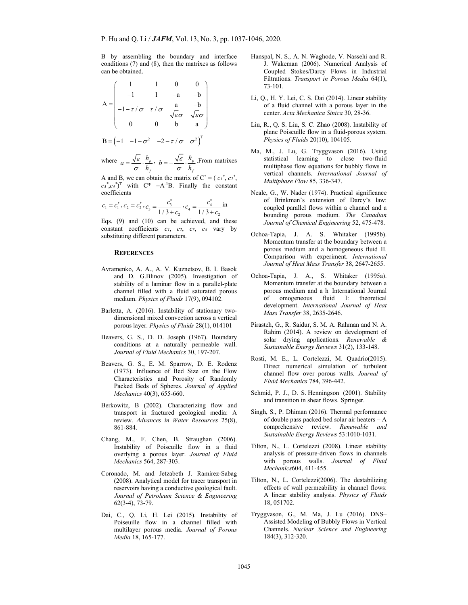B by assembling the boundary and interface conditions (7) and (8), then the matrixes as follows can be obtained.

$$
A = \begin{pmatrix} 1 & 1 & 0 & 0 \\ -1 & 1 & -a & -b \\ -1 - \tau / \sigma & \tau / \sigma & \frac{a}{\sqrt{\varepsilon \sigma}} & \frac{-b}{\sqrt{\varepsilon \sigma}} \\ 0 & 0 & b & a \end{pmatrix}
$$

$$
B = \begin{pmatrix} -1 & -1 - \sigma^2 & -2 - \tau / \sigma & \sigma^2 \end{pmatrix}^T
$$

where  $q = \frac{\sqrt{\varepsilon}}{q} \cdot \frac{n_p}{p}$  $a = \frac{\sqrt{\varepsilon}}{\sigma} \cdot \frac{h_p}{h_f}, b = -\frac{\sqrt{\varepsilon}}{\sigma} \cdot \frac{h_p}{h_f}$  $b = -\frac{\sqrt{\varepsilon}}{\sigma} \cdot \frac{h}{h}$  $=-\frac{\sqrt{\varepsilon}}{\sigma}\cdot\frac{n_p}{h_c}$ . From matrixes

A and B, we can obtain the matrix of  $C^* = (c_1^*, c_2^*,$  $c_3$ <sup>\*</sup>, $c_4$ <sup>\*</sup>)<sup>T</sup> with C<sup>\*</sup> =A<sup>-1</sup>B. Finally the constant coefficients

$$
c_1 = c_1^*, c_2 = c_2^*, c_3 = \frac{c_3^*}{1/3 + c_2}, c_4 = \frac{c_4^*}{1/3 + c_2}
$$
 in

Eqs. (9) and (10) can be achieved, and these constant coefficients *c1*, *c2*, *c3*, *c4* vary by substituting different parameters.

## **REFERENCES**

- Avramenko, A. A., A. V. Kuznetsov, B. I. Basok and D. G.Blinov (2005). Investigation of stability of a laminar flow in a parallel-plate channel filled with a fluid saturated porous medium. *Physics of Fluids* 17(9), 094102.
- Barletta, A. (2016). Instability of stationary twodimensional mixed convection across a vertical porous layer. *Physics of Fluids* 28(1), 014101
- Beavers, G. S., D. D. Joseph (1967). Boundary conditions at a naturally permeable wall. *Journal of Fluid Mechanics* 30, 197-207.
- Beavers, G. S., E. M. Sparrow, D. E. Rodenz (1973). Influence of Bed Size on the Flow Characteristics and Porosity of Randomly Packed Beds of Spheres. *Journal of Applied Mechanics* 40(3), 655-660.
- Berkowitz, B (2002). Characterizing flow and transport in fractured geological media: A review. *Advances in Water Resources* 25(8), 861-884.
- Chang, M., F. Chen, B. Straughan (2006). Instability of Poiseuille flow in a fluid overlying a porous layer. *Journal of Fluid Mechanics* 564, 287-303.
- Coronado, M. and Jetzabeth J. Ramírez-Sabag (2008). Analytical model for tracer transport in reservoirs having a conductive geological fault. *Journal of Petroleum Science & Engineering* 62(3-4), 73-79.
- Dai, C., Q. Li, H. Lei (2015). Instability of Poiseuille flow in a channel filled with multilayer porous media. *Journal of Porous Media* 18, 165-177.
- Hanspal, N. S., A. N. Waghode, V. Nassehi and R. J. Wakeman (2006). Numerical Analysis of Coupled Stokes/Darcy Flows in Industrial Filtrations. *Transport in Porous Media* 64(1), 73-101.
- Li, Q., H. Y. Lei, C. S. Dai (2014). Linear stability of a fluid channel with a porous layer in the center. *Acta Mechanica Sinica* 30, 28-36.
- Liu, R., Q. S. Liu, S. C. Zhao (2008). Instability of plane Poiseuille flow in a fluid-porous system. *Physics of Fluids* 20(10), 104105.
- Ma, M., J. Lu, G. Tryggvason (2016). Using statistical learning to close two-fluid multiphase flow equations for bubbly flows in vertical channels. *International Journal of Multiphase Flow* 85, 336-347.
- Neale, G., W. Nader (1974). Practical significance of Brinkman's extension of Darcy's law: coupled parallel flows within a channel and a bounding porous medium. *The Canadian Journal of Chemical Engineering* 52, 475-478.
- Ochoa-Tapia, J. A. S. Whitaker (1995b). Momentum transfer at the boundary between a porous medium and a homogeneous fluid II. Comparison with experiment. *International Journal of Heat Mass Transfer* 38, 2647-2655.
- Ochoa-Tapia, J. A., S. Whitaker (1995a). Momentum transfer at the boundary between a porous medium and a h International Journal of omogeneous fluid I: theoretical development. *International Journal of Heat Mass Transfer* 38, 2635-2646.
- Pirasteh, G., R. Saidur, S. M. A. Rahman and N. A. Rahim (2014). A review on development of solar drying applications. *Renewable & Sustainable Energy Reviews* 31(2), 133-148.
- Rosti, M. E., L. Cortelezzi, M. Quadrio(2015). Direct numerical simulation of turbulent channel flow over porous walls. *Journal of Fluid Mechanics* 784, 396-442.
- Schmid, P. J., D. S. Henningson (2001). Stability and transition in shear flows. Springer.
- Singh, S., P. Dhiman (2016). Thermal performance of double pass packed bed solar air heaters – A comprehensive review. *Renewable and Sustainable Energy Reviews* 53:1010-1031.
- Tilton, N., L. Cortelezzi (2008). Linear stability analysis of pressure-driven flows in channels with porous walls. *Journal of Fluid Mechanics*604, 411-455.
- Tilton, N., L. Cortelezzi(2006). The destabilizing effects of wall permeability in channel flows: A linear stability analysis. *Physics of Fluids*  18, 051702.
- Tryggvason, G., M. Ma, J. Lu (2016). DNS– Assisted Modeling of Bubbly Flows in Vertical Channels. *Nuclear Science and Engineering* 184(3), 312-320.